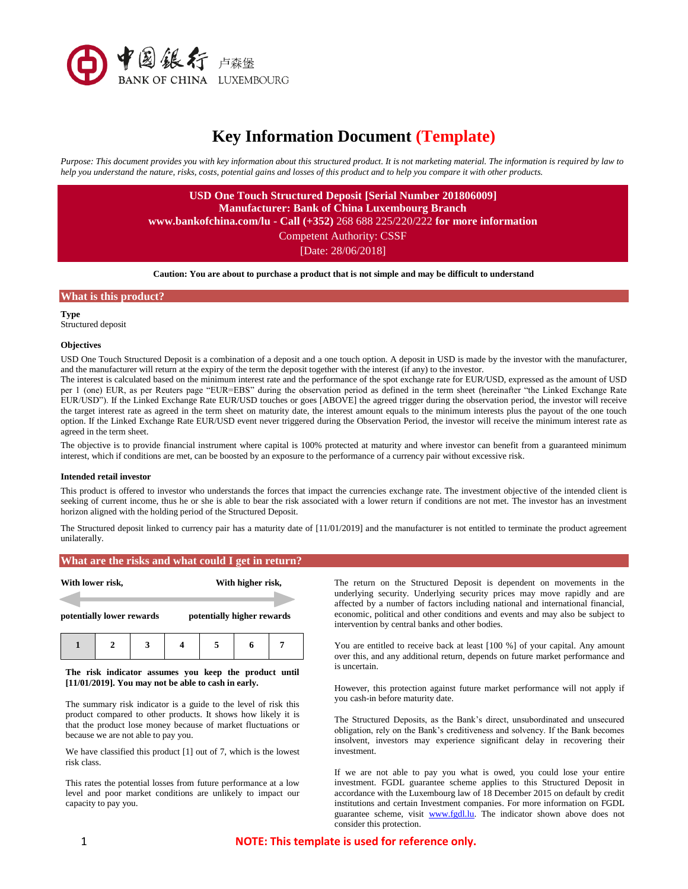

# **Key Information Document (Template)**

*Purpose: This document provides you with key information about this structured product. It is not marketing material. The information is required by law to help you understand the nature, risks, costs, potential gains and losses of this product and to help you compare it with other products.*

> **USD One Touch Structured Deposit [Serial Number 201806009] Manufacturer: Bank of China Luxembourg Branch**

**www.bankofchina.com/lu - Call (+352)** 268 688 225/220/222 **for more information**

Competent Authority: CSSF

[Date: 28/06/2018]

**Caution: You are about to purchase a product that is not simple and may be difficult to understand**

## **What is this product?**

**Type** Structured deposit

#### **Objectives**

USD One Touch Structured Deposit is a combination of a deposit and a one touch option. A deposit in USD is made by the investor with the manufacturer, and the manufacturer will return at the expiry of the term the deposit together with the interest (if any) to the investor.

The interest is calculated based on the minimum interest rate and the performance of the spot exchange rate for EUR/USD, expressed as the amount of USD per 1 (one) EUR, as per Reuters page "EUR=EBS" during the observation period as defined in the term sheet (hereinafter "the Linked Exchange Rate EUR/USD"). If the Linked Exchange Rate EUR/USD touches or goes [ABOVE] the agreed trigger during the observation period, the investor will receive the target interest rate as agreed in the term sheet on maturity date, the interest amount equals to the minimum interests plus the payout of the one touch option. If the Linked Exchange Rate EUR/USD event never triggered during the Observation Period, the investor will receive the minimum interest rate as agreed in the term sheet.

The objective is to provide financial instrument where capital is 100% protected at maturity and where investor can benefit from a guaranteed minimum interest, which if conditions are met, can be boosted by an exposure to the performance of a currency pair without excessive risk.

#### **Intended retail investor**

This product is offered to investor who understands the forces that impact the currencies exchange rate. The investment objective of the intended client is seeking of current income, thus he or she is able to bear the risk associated with a lower return if conditions are not met. The investor has an investment horizon aligned with the holding period of the Structured Deposit.

The Structured deposit linked to currency pair has a maturity date of [11/01/2019] and the manufacturer is not entitled to terminate the product agreement unilaterally.

#### **What are the risks and what could I get in return?**

| With lower risk,          |  |  | With higher risk,          |  |  |  |
|---------------------------|--|--|----------------------------|--|--|--|
| potentially lower rewards |  |  | potentially higher rewards |  |  |  |
|                           |  |  |                            |  |  |  |

#### **The risk indicator assumes you keep the product until [11/01/2019]. You may not be able to cash in early.**

The summary risk indicator is a guide to the level of risk this product compared to other products. It shows how likely it is that the product lose money because of market fluctuations or because we are not able to pay you.

We have classified this product [1] out of 7, which is the lowest risk class.

This rates the potential losses from future performance at a low level and poor market conditions are unlikely to impact our capacity to pay you.

The return on the Structured Deposit is dependent on movements in the underlying security. Underlying security prices may move rapidly and are affected by a number of factors including national and international financial, economic, political and other conditions and events and may also be subject to intervention by central banks and other bodies.

You are entitled to receive back at least [100 %] of your capital. Any amount over this, and any additional return, depends on future market performance and is uncertain.

However, this protection against future market performance will not apply if you cash-in before maturity date.

The Structured Deposits, as the Bank's direct, unsubordinated and unsecured obligation, rely on the Bank's creditiveness and solvency. If the Bank becomes insolvent, investors may experience significant delay in recovering their investment.

If we are not able to pay you what is owed, you could lose your entire investment. FGDL guarantee scheme applies to this Structured Deposit in accordance with the Luxembourg law of 18 December 2015 on default by credit institutions and certain Investment companies. For more information on FGDL guarantee scheme, visit [www.fgdl.lu.](http://www.fgdl.lu/) The indicator shown above does not consider this protection.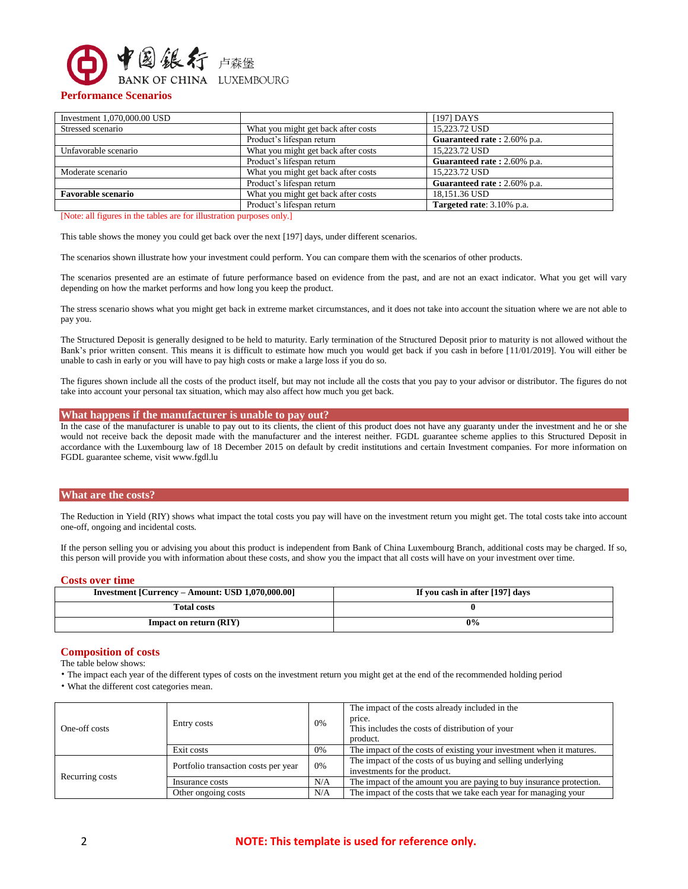

# **Performance Scenarios**

|                                     | $[197]$ DAYS                |
|-------------------------------------|-----------------------------|
| What you might get back after costs | 15,223.72 USD               |
| Product's lifespan return           | Guaranteed rate: 2.60% p.a. |
| What you might get back after costs | 15,223.72 USD               |
| Product's lifespan return           | Guaranteed rate: 2.60% p.a. |
| What you might get back after costs | 15.223.72 USD               |
| Product's lifespan return           | Guaranteed rate: 2.60% p.a. |
| What you might get back after costs | 18.151.36 USD               |
| Product's lifespan return           | Targeted rate: 3.10% p.a.   |
|                                     |                             |

[Note: all figures in the tables are for illustration purposes only.]

This table shows the money you could get back over the next [197] days, under different scenarios.

The scenarios shown illustrate how your investment could perform. You can compare them with the scenarios of other products.

The scenarios presented are an estimate of future performance based on evidence from the past, and are not an exact indicator. What you get will vary depending on how the market performs and how long you keep the product.

The stress scenario shows what you might get back in extreme market circumstances, and it does not take into account the situation where we are not able to pay you.

The Structured Deposit is generally designed to be held to maturity. Early termination of the Structured Deposit prior to maturity is not allowed without the Bank's prior written consent. This means it is difficult to estimate how much you would get back if you cash in before [11/01/2019]. You will either be unable to cash in early or you will have to pay high costs or make a large loss if you do so.

The figures shown include all the costs of the product itself, but may not include all the costs that you pay to your advisor or distributor. The figures do not take into account your personal tax situation, which may also affect how much you get back.

# **What happens if the manufacturer is unable to pay out?**

In the case of the manufacturer is unable to pay out to its clients, the client of this product does not have any guaranty under the investment and he or she would not receive back the deposit made with the manufacturer and the interest neither. FGDL guarantee scheme applies to this Structured Deposit in accordance with the Luxembourg law of 18 December 2015 on default by credit institutions and certain Investment companies. For more information on FGDL guarantee scheme, visit www.fgdl.lu

## **What are the costs?**

The Reduction in Yield (RIY) shows what impact the total costs you pay will have on the investment return you might get. The total costs take into account one-off, ongoing and incidental costs.

If the person selling you or advising you about this product is independent from Bank of China Luxembourg Branch, additional costs may be charged. If so, this person will provide you with information about these costs, and show you the impact that all costs will have on your investment over time.

## **Costs over time**

| Investment [Currency – Amount: USD 1,070,000.00] | If you cash in after [197] days |
|--------------------------------------------------|---------------------------------|
| <b>Total costs</b>                               |                                 |
| <b>Impact on return (RIY)</b>                    | 0%                              |

# **Composition of costs**

The table below shows:

• The impact each year of the different types of costs on the investment return you might get at the end of the recommended holding period

• What the different cost categories mean.

| One-off costs   | Entry costs                          | 0%  | The impact of the costs already included in the<br>price.<br>This includes the costs of distribution of your<br>product. |  |
|-----------------|--------------------------------------|-----|--------------------------------------------------------------------------------------------------------------------------|--|
|                 | Exit costs                           | 0%  | The impact of the costs of existing your investment when it matures.                                                     |  |
|                 | Portfolio transaction costs per year | 0%  | The impact of the costs of us buying and selling underlying<br>investments for the product.                              |  |
| Recurring costs | Insurance costs                      | N/A | The impact of the amount you are paying to buy insurance protection.                                                     |  |
|                 | Other ongoing costs                  | N/A | The impact of the costs that we take each year for managing your                                                         |  |